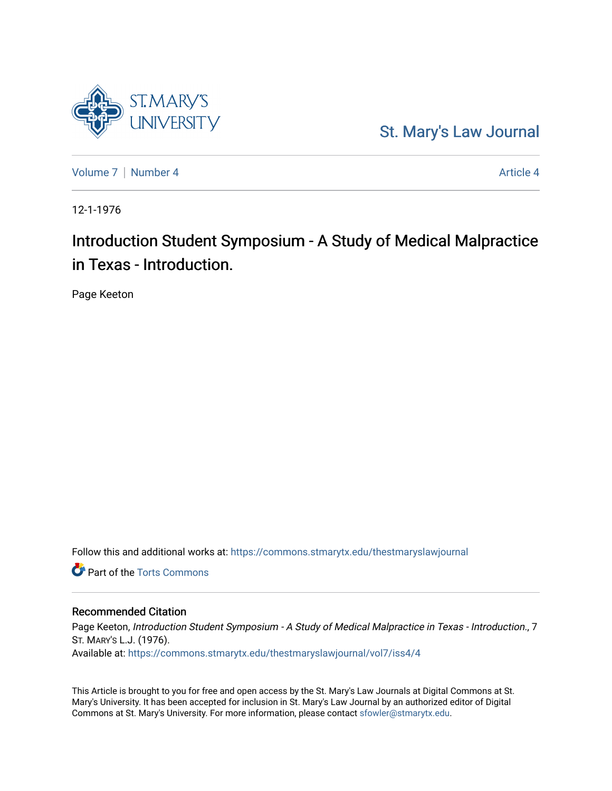# [St. Mary's Law Journal](https://commons.stmarytx.edu/thestmaryslawjournal)

[Volume 7](https://commons.stmarytx.edu/thestmaryslawjournal/vol7) | [Number 4](https://commons.stmarytx.edu/thestmaryslawjournal/vol7/iss4) Article 4

**ST.MARY'S** 

12-1-1976

# Introduction Student Symposium - A Study of Medical Malpractice in Texas - Introduction.

Page Keeton

Follow this and additional works at: [https://commons.stmarytx.edu/thestmaryslawjournal](https://commons.stmarytx.edu/thestmaryslawjournal?utm_source=commons.stmarytx.edu%2Fthestmaryslawjournal%2Fvol7%2Fiss4%2F4&utm_medium=PDF&utm_campaign=PDFCoverPages) 

**Part of the [Torts Commons](https://network.bepress.com/hgg/discipline/913?utm_source=commons.stmarytx.edu%2Fthestmaryslawjournal%2Fvol7%2Fiss4%2F4&utm_medium=PDF&utm_campaign=PDFCoverPages)** 

# Recommended Citation

Page Keeton, Introduction Student Symposium - A Study of Medical Malpractice in Texas - Introduction., 7 ST. MARY'S L.J. (1976). Available at: [https://commons.stmarytx.edu/thestmaryslawjournal/vol7/iss4/4](https://commons.stmarytx.edu/thestmaryslawjournal/vol7/iss4/4?utm_source=commons.stmarytx.edu%2Fthestmaryslawjournal%2Fvol7%2Fiss4%2F4&utm_medium=PDF&utm_campaign=PDFCoverPages) 

This Article is brought to you for free and open access by the St. Mary's Law Journals at Digital Commons at St. Mary's University. It has been accepted for inclusion in St. Mary's Law Journal by an authorized editor of Digital Commons at St. Mary's University. For more information, please contact [sfowler@stmarytx.edu](mailto:sfowler@stmarytx.edu).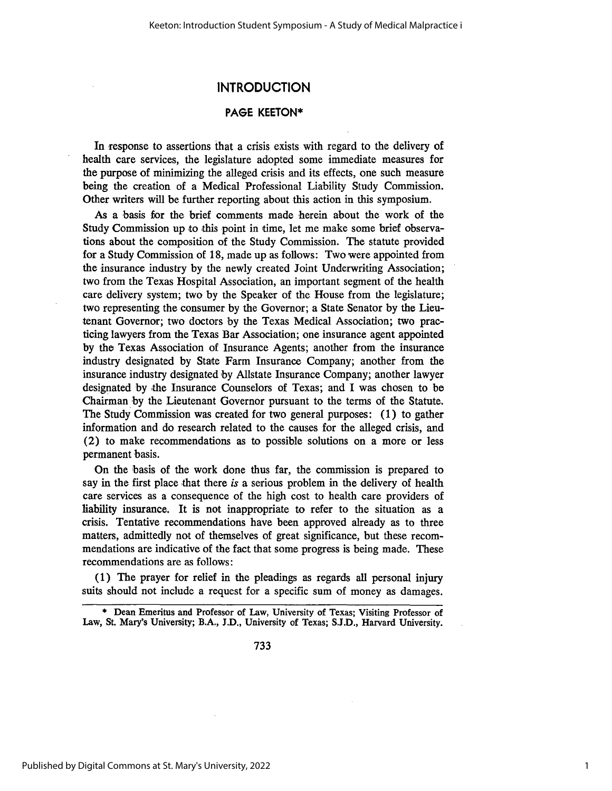# **INTRODUCTION**

# **PAGE KEETON\***

In response to assertions that a crisis exists with regard to the delivery of health care services, the legislature adopted some immediate measures for the purpose of minimizing the alleged crisis and its effects, one such measure being the creation of a Medical Professional Liability Study Commission. Other writers will be further reporting about this action in this symposium.

As a basis for the brief comments made herein about the work of the Study Commission up to this point in time, let me make some brief observations about the composition of the Study Commission. The statute provided for a Study Commission of 18, made up as follows: Two were appointed from the insurance industry by the newly created Joint Underwriting Association; two from the Texas Hospital Association, an important segment of the health care delivery system; two by the Speaker of the House from the legislature; two representing the consumer by the Governor; a State Senator by the Lieutenant Governor; two doctors by the Texas Medical Association; two practicing lawyers from the Texas Bar Association; one insurance agent appointed by the Texas Association of Insurance Agents; another from the insurance industry designated by State Farm Insurance Company; another from the insurance industry designated by Allstate Insurance Company; another lawyer designated by the Insurance Counselors of Texas; and I was chosen to be Chairman **by** the Lieutenant Governor pursuant to the terms of the Statute. The Study Commission was created for two general purposes: (1) to gather information and do research related to the causes for the alleged crisis, and (2) to make recommendations as to possible solutions on a more or less permanent basis.

On the basis of the work done thus far, the commission is prepared to say in the first place that there *is* a serious problem in the delivery of health care services as a consequence of the high cost to health care providers of liability insurance. It is not inappropriate to refer to the situation as a crisis. Tentative recommendations have been approved already as to three matters, admittedly not of themselves of great significance, but these recommendations are indicative of the fact that some progress is being made. These recommendations are as follows:

(1) The prayer for relief in the pleadings as regards all personal injury suits should not include a request for a specific sum of money as damages.

<sup>\*</sup> Dean Emeritus and Professor of Law, University of Texas; Visiting Professor of Law, St. Mary's University; B.A., J.D., University of Texas; S.J.D., Harvard University.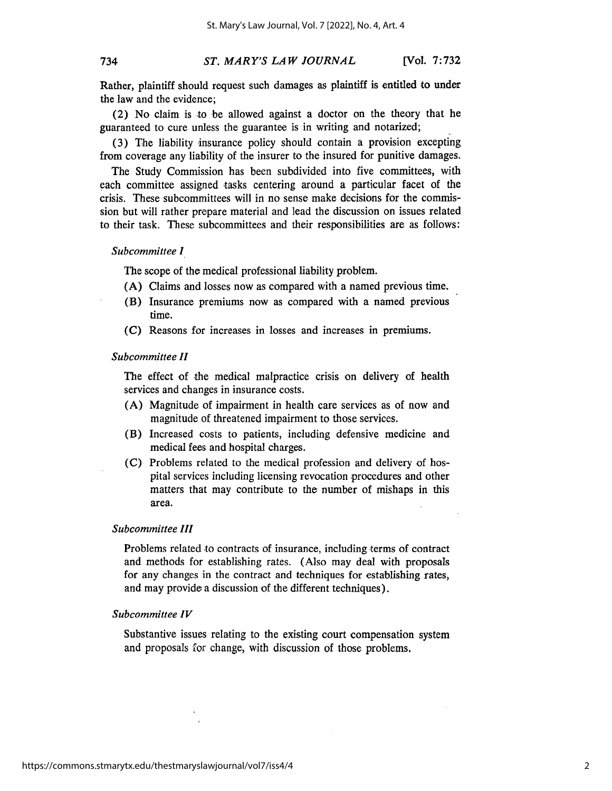# 734

#### *ST. MARY'S LAW JOURNAL* [Vol. **7:732**

Rather, plaintiff should request such damages as plaintiff is entitled to under the law and the evidence;

(2) No claim is to be allowed against a doctor on the theory that he guaranteed to cure unless the guarantee is in writing and notarized;

(3) The liability insurance policy should contain a provision excepting from coverage any liability of the insurer to the insured for punitive damages.

The Study Commission has been subdivided into five committees, with each committee assigned tasks centering around a particular facet of the crisis. These subcommittees will in no sense make decisions for the commission but will rather prepare material and lead the discussion on issues related to their task. These subcommittees and their responsibilities are as follows:

### *Subcommittee 1*

The scope of the medical professional liability problem.

- (A) Claims and losses now as compared with a named previous time.
- (B) Insurance premiums now as compared with a named previous time.
- **(C)** Reasons for increases in losses and increases in premiums.

### *Subcommittee H*

The effect of the medical malpractice crisis on delivery of health services and changes in insurance costs.

- (A) Magnitude of impairment in health care services as of now and magnitude of threatened impairment to those services.
- (B) Increased costs to patients, including defensive medicine and medical fees and hospital charges.
- *(C)* Problems related to the medical profession and delivery of hospital services including licensing revocation procedures and other matters that may contribute to the number of mishaps in this area.

## *Subcommittee 111*

Problems related to contracts of insurance, including terms of contract and methods for establishing rates. (Also may deal with proposals for any changes in the contract and techniques for establishing rates, and may provide a discussion of the different techniques).

### *Subcommittee IV*

Substantive issues relating to the existing court compensation system and proposals for change, with discussion of those problems.